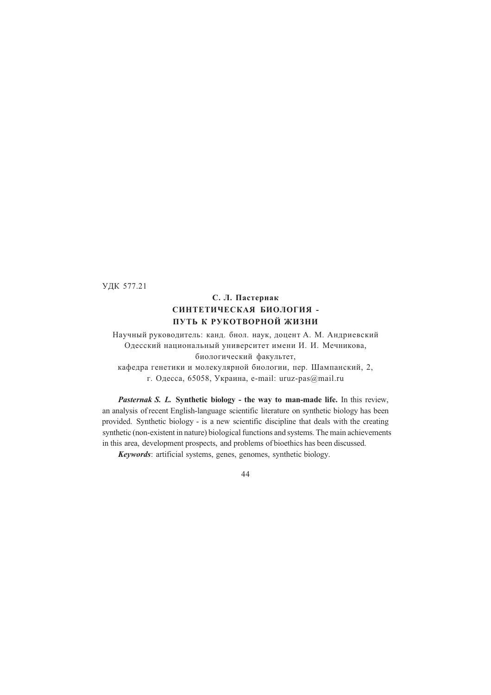УДК 577.21

# **С. Л. Пастернак СИНТЕТИЧЕСКАЯ БИОЛОГИЯ - ПУТЬ К РУКОТВОРНОЙ ЖИЗНИ**

Научный руководитель: канд. бнол. наук, доцент А. М. Андриевский Одесский национальный университет имени И. И. Мечникова, биологический факультет,

кафедра генетики и молекулярной биологии, пер. Шампанский, 2, г. Одесса, 65058, Украина, e-mail: uruz-pas@mail.ru

*Pasternak S. L.* **Synthetic biology - the way to man-made life.** In this review, an analysis of recent English-language scientific literature on synthetic biology has been provided. Synthetic biology - is a new scientific discipline that deals with the creating synthetic (non-existent in nature) biological functions and systems. The main achievements in this area, development prospects, and problems of bioethics has been discussed.

*Keywords*: artificial systems, genes, genomes, synthetic biology.

44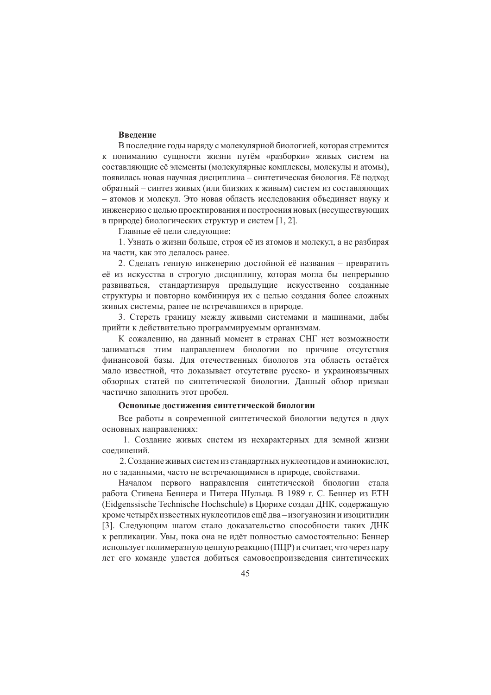# Ввеление

В последние годы наряду с молекулярной биологией, которая стремится к пониманию сущности жизни путём «разборки» живых систем на составляющие её элементы (молекулярные комплексы, молекулы и атомы), появилась новая научная дисциплина - синтетическая биология. Её подход обратный - синтез живых (или близких к живым) систем из составляющих - атомов и молекул. Это новая область исследования объединяет науку и инженерию с целью проектирования и построения новых (несуществующих в природе) биологических структур и систем [1, 2].

Главные её цели следующие:

1. Узнать о жизни больше, строя её из атомов и молекул, а не разбирая на части, как это делалось ранее.

2. Сделать генную инженерию достойной её названия - превратить её из искусства в строгую дисциплину, которая могла бы непрерывно развиваться, стандартизируя предыдущие искусственно созданные структуры и повторно комбинируя их с целью создания более сложных живых системы, ранее не встречавшихся в природе.

3. Стереть границу между живыми системами и машинами, дабы прийти к действительно программируемым организмам.

К сожалению, на данный момент в странах СНГ нет возможности заниматься этим направлением биологии по причине отсутствия финансовой базы. Для отечественных биологов эта область остаётся мало известной, что доказывает отсутствие русско- и украиноязычных обзорных статей по синтетической биологии. Данный обзор призван частично заполнить этот пробел.

# Основные достижения синтетической биологии

Все работы в современной синтетической биологии ведутся в двух основных направлениях:

1. Создание живых систем из нехарактерных для земной жизни соелинений.

2. Создание живых систем из стандартных нуклеотидов и аминокислот, но с заданными, часто не встречающимися в природе, свойствами.

Началом первого направления синтетической биологии стала работа Стивена Беннера и Питера Шульца. В 1989 г. С. Беннер из ЕТН (Eidgenssische Technische Hochschule) в Цюрихе создал ДНК, содержащую кроме четырёх известных нуклеотидов ещё два - изогуанозин и изоцитидин [3]. Следующим шагом стало доказательство способности таких ДНК к репликации. Увы, пока она не идёт полностью самостоятельно: Беннер использует полимеразную цепную реакцию (ПЦР) и считает, что через пару лет его команле уластся добиться самовоспроизвеления синтетических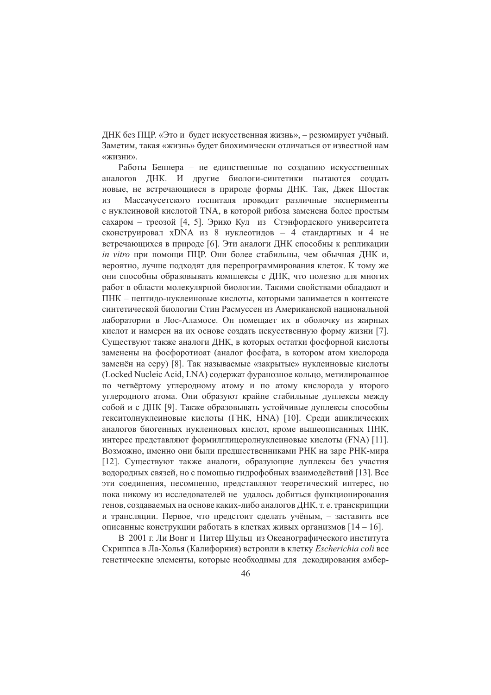ДНК без ПЦР. «Это и будет искусственная жизнь», - резюмирует учёный. Заметим, такая «жизнь» будет биохимически отличаться от известной нам «жизни».

Работы Беннера - не единственные по созданию искусственных аналогов ДНК. И другие биологи-синтетики пытаются создать новые, не встречающиеся в природе формы ДНК. Так, Джек Шостак Массачусетского госпиталя проводит различные эксперименты **ИЗ** с нуклеиновой кислотой TNA, в которой рибоза заменена более простым сахаром - треозой [4, 5]. Эрико Кул из Стэнфордского университета сконструировал xDNA из 8 нуклеотидов - 4 стандартных и 4 не встречающихся в природе [6]. Эти аналоги ДНК способны к репликации *in vitro* при помощи ПЦР. Они более стабильны, чем обычная ДНК и, вероятно, лучше подходят для перепрограммирования клеток. К тому же они способны образовывать комплексы с ДНК, что полезно для многих работ в области молекулярной биологии. Такими свойствами обладают и ПНК - пептидо-нуклеиновые кислоты, которыми занимается в контексте синтетической биологии Стин Расмуссен из Американской национальной лаборатории в Лос-Аламосе. Он помещает их в оболочку из жирных кислот и намерен на их основе создать искусственную форму жизни [7]. Существуют также аналоги ДНК, в которых остатки фосфорной кислоты заменены на фосфоротиоат (аналог фосфата, в котором атом кислорода заменён на серу) [8]. Так называемые «закрытые» нуклеиновые кислоты (Locked Nucleic Acid, LNA) содержат фуранозное кольцо, метилированное по четвёртому углеродному атому и по атому кислорода у второго углеродного атома. Они образуют крайне стабильные дуплексы между собой и с ДНК [9]. Также образовывать устойчивые дуплексы способны гекситолнуклеиновые кислоты (ГНК, HNA) [10]. Среди ациклических аналогов биогенных нуклеиновых кислот, кроме вышеописанных ПНК, интерес представляют формилглицеролнуклеиновые кислоты (FNA) [11]. Возможно, именно они были предшественниками РНК на заре РНК-мира [12]. Существуют также аналоги, образующие дуплексы без участия водородных связей, но с помощью гидрофобных взаимодействий [13]. Все эти соединения, несомненно, представляют теоретический интерес, но пока никому из исследователей не удалось добиться функционирования генов, создаваемых на основе каких-либо аналогов ДНК, т. е. транскрипции и трансляции. Первое, что предстоит сделать учёным, - заставить все описанные конструкции работать в клетках живых организмов [14 - 16].

В 2001 г. Ли Вонг и Питер Шульц из Океанографического института Скриппса в Ла-Холья (Калифорния) встроили в клетку *Escherichia coli* все генетические элементы, которые необходимы для декодирования амбер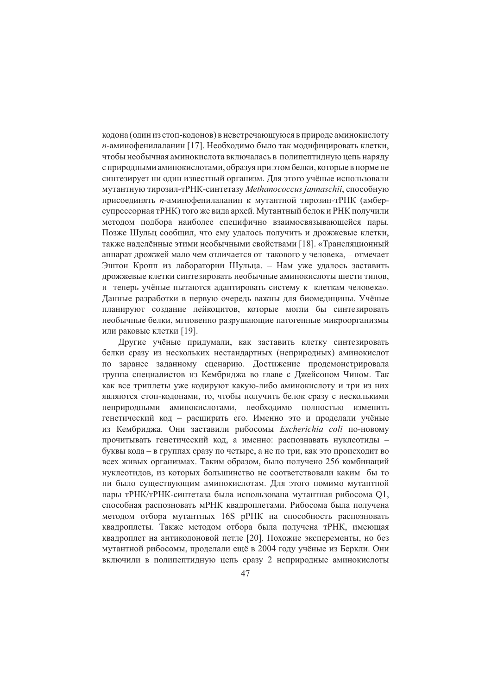кодона (один из стоп-кодонов) в невстречающуюся в природе аминокислоту п-аминофенилаланин [17]. Необходимо было так модифицировать клетки, чтобы необычная аминокислота включалась в полипептидную цепь наряду с природными аминокислотами, образуя при этом белки, которые в норме не синтезирует ни один известный организм. Для этого учёные использовали мутантную тирозил-тРНК-синтетазу Methanococcus jannaschii, способную присоединять п-аминофенилаланин к мутантной тирозин-тРНК (амберсупрессорная тРНК) того же вида архей. Мутантный белок и РНК получили метолом полбора наиболее специфично взаимосвязывающейся пары. Позже Шульц сообщил, что ему удалось получить и дрожжевые клетки, также наделённые этими необычными свойствами [18]. «Трансляционный аппарат дрожжей мало чем отличается от такового у человека, - отмечает Эштон Кропп из лаборатории Шульца. - Нам уже удалось заставить дрожжевые клетки синтезировать необычные аминокислоты шести типов, и теперь учёные пытаются адаптировать систему к клеткам человека». Данные разработки в первую очередь важны для биомедицины. Учёные планируют создание лейкоцитов, которые могли бы синтезировать необычные белки, мгновенно разрушающие патогенные микроорганизмы или раковые клетки [19].

Другие учёные придумали, как заставить клетку синтезировать белки сразу из нескольких нестандартных (неприродных) аминокислот по заранее заданному сценарию. Достижение продемонстрировала группа специалистов из Кембриджа во главе с Джейсоном Чином. Так как все триплеты уже кодируют какую-либо аминокислоту и три из них являются стоп-кодонами, то, чтобы получить белок сразу с несколькими неприродными аминокислотами, необходимо полностью изменить генетический код - расширить его. Именно это и проделали учёные из Кембриджа. Они заставили рибосомы Escherichia coli по-новому прочитывать генетический кол. а именно: распознавать нуклеотилы буквы кода - в группах сразу по четыре, а не по три, как это происходит во всех живых организмах. Таким образом, было получено 256 комбинаций нуклеотидов, из которых большинство не соответствовали каким бы то ни было существующим аминокислотам. Для этого помимо мутантной пары тРНК/тРНК-синтетаза была использована мутантная рибосома Q1, способная распозновать мРНК квадроплетами. Рибосома была получена методом отбора мутантных 16S pPHK на способность распозновать квадроплеты. Также методом отбора была получена тРНК, имеющая квадроплет на антикодоновой петле [20]. Похожие эксперементы, но без мутантной рибосомы, проделали ещё в 2004 году учёные из Беркли. Они включили в полипептидную цепь сразу 2 неприродные аминокислоты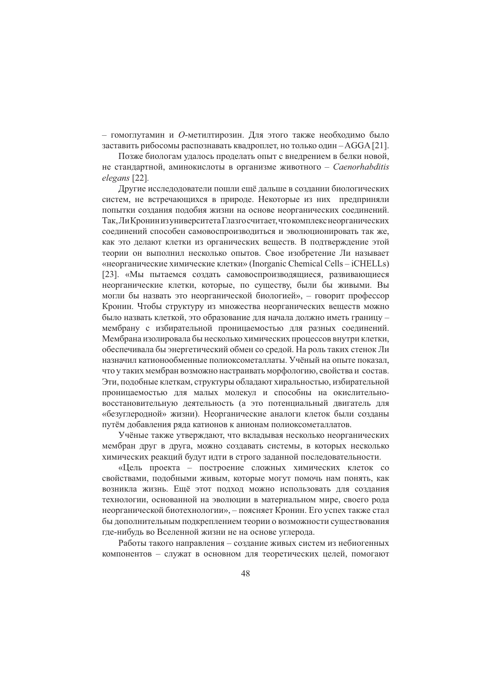- гомоглутамин и О-метилтирозин. Для этого также необходимо было заставить рибосомы распознавать квадроплет, но только один - AGGA [21].

Позже биологам удалось проделать опыт с внедрением в белки новой, не стандартной, аминокислоты в организме животного - Caenorhabditis elegans [22].

Другие исследодователи пошли ещё дальше в создании биологических систем, не встречающихся в природе. Некоторые из них предприняли попытки создания подобия жизни на основе неорганических соединений. Так, Ли Кронин из университета Глазго считает, что комплекс неорганических соединений способен самовоспроизводиться и эволюционировать так же, как это делают клетки из органических веществ. В подтверждение этой теории он выполнил несколько опытов. Свое изобретение Ли называет «неорганические химические клетки» (Inorganic Chemical Cells – iCHELLs) [23]. «Мы пытаемся создать самовоспроизводящиеся, развивающиеся неорганические клетки, которые, по существу, были бы живыми. Вы могли бы назвать это неорганической биологией», - говорит профессор Кронин. Чтобы структуру из множества неорганических веществ можно было назвать клеткой, это образование для начала должно иметь границу мембрану с избирательной проницаемостью для разных соединений. Мембрана изолировала бы несколько химических процессов внутри клетки, обеспечивала бы энергетический обмен со средой. На роль таких стенок Ли назначил катионообменные полиоксометаллаты. Учёный на опыте показал, что у таких мембран возможно настраивать морфологию, свойства и состав. Эти, подобные клеткам, структуры обладают хиральностью, избирательной проницаемостью для малых молекул и способны на окислительновосстановительную деятельность (а это потенциальный двигатель для «безуглеродной» жизни). Неорганические аналоги клеток были созданы путём добавления ряда катионов к анионам полиоксометаллатов.

Учёные также утверждают, что вкладывая несколько неорганических мембран друг в друга, можно создавать системы, в которых несколько химических реакций будут идти в строго заданной последовательности.

«Цель проекта - построение сложных химических клеток со свойствами, подобными живым, которые могут помочь нам понять, как возникла жизнь. Ещё этот подход можно использовать для создания технологии, основанной на эволюции в материальном мире, своего рода неорганической биотехнологии», - поясняет Кронин. Его успех также стал бы дополнительным подкреплением теории о возможности существования где-нибудь во Вселенной жизни не на основе углерода.

Работы такого направления - создание живых систем из небиогенных компонентов - служат в основном для теоретических целей, помогают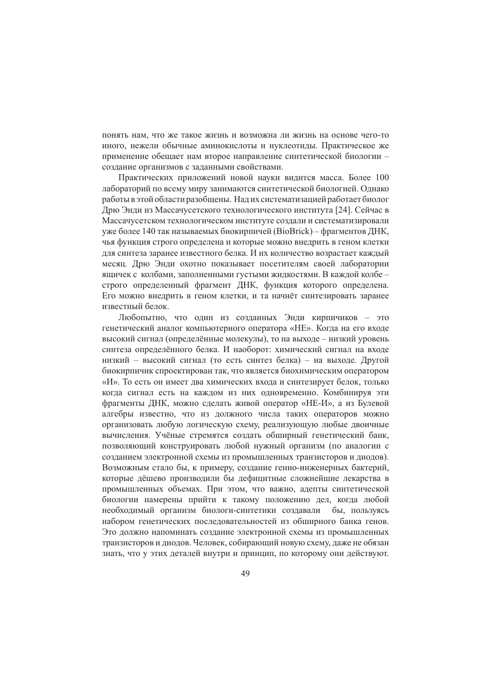понять нам, что же такое жизнь и возможна ли жизнь на основе чего-то иного, нежели обычные аминокислоты и нуклеотиды. Практическое же применение обещает нам второе направление синтетической биологии создание организмов с заданными свойствами.

Практических приложений новой науки видится масса. Более 100 лабораторий по всему миру занимаются синтетической биологией. Однако работы в этой области разобщены. Над их систематизацией работает биолог Дрю Энди из Массачусетского технологического института [24]. Сейчас в Массачусетском технологическом институте создали и систематизировали уже более 140 так называемых биокирпичей (BioBrick) – фрагментов ЛНК, чья функция строго определена и которые можно внедрить в геном клетки для синтеза заранее известного белка. И их количество возрастает каждый месяц. Дрю Энди охотно показывает посетителям своей лаборатории ящичек с колбами, заполненными густыми жидкостями. В каждой колбе строго определенный фрагмент ДНК, функция которого определена. Его можно внедрить в геном клетки, и та начнёт синтезировать заранее известный белок.

Любопытно, что один из созданных Энди кирпичиков - это генетический аналог компьютерного оператора «НЕ». Когда на его входе высокий сигнал (определённые молекулы), то на выходе - низкий уровень синтеза определённого белка. И наоборот: химический сигнал на входе низкий - высокий сигнал (то есть синтез белка) - на выходе. Другой биокирпичик спроектирован так, что является биохимическим оператором «И». То есть он имеет два химических входа и синтезирует белок, только когда сигнал есть на каждом из них одновременно. Комбинируя эти фрагменты ДНК, можно сделать живой оператор «НЕ-И», а из Булевой алгебры известно, что из должного числа таких операторов можно организовать любую логическую схему, реализующую любые двоичные вычисления. Учёные стремятся создать обширный генетический банк, позволяющий конструировать любой нужный организм (по аналогии с созданием электронной схемы из промышленных транзисторов и диодов). Возможным стало бы, к примеру, создание генно-инженерных бактерий, которые дёшево производили бы дефицитные сложнейшие лекарства в промышленных объемах. При этом, что важно, адепты синтетической биологии намерены прийти к такому положению дел, когда любой необходимый организм биологи-синтетики создавали бы, пользуясь набором генетических последовательностей из обширного банка генов. Это должно напоминать создание электронной схемы из промышленных транзисторов и диодов. Человек, собирающий новую схему, даже не обязан знать, что у этих деталей внутри и принцип, по которому они действуют.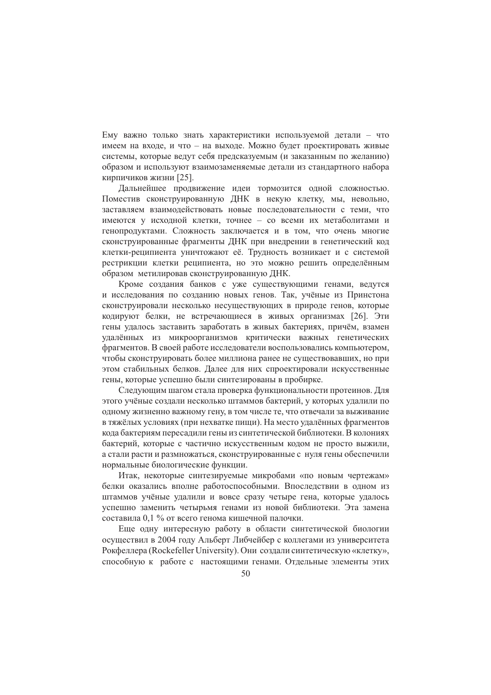Ему важно только знать характеристики используемой детали - что имеем на входе, и что – на выходе. Можно будет проектировать живые системы, которые ведут себя предсказуемым (и заказанным по желанию) образом и используют взаимозаменяемые детали из стандартного набора кирпичиков жизни [25].

Дальнейшее продвижение идеи тормозится одной сложностью. Поместив сконструированную ДНК в некую клетку, мы, невольно, заставляем взаимодействовать новые последовательности с теми, что имеются у исходной клетки, точнее - со всеми их метаболитами и генопродуктами. Сложность заключается и в том, что очень многие сконструированные фрагменты ДНК при внедрении в генетический код клетки-реципиента уничтожают её. Трудность возникает и с системой рестрикции клетки реципиента, но это можно решить определённым образом метилировав сконструированную ДНК.

Кроме создания банков с уже существующими генами, ведутся и исследования по созданию новых генов. Так, учёные из Принстона сконструировали несколько несуществующих в природе генов, которые кодируют белки, не встречающиеся в живых организмах [26]. Эти гены удалось заставить заработать в живых бактериях, причём, взамен удалённых из микроорганизмов критически важных генетических фрагментов. В своей работе исследователи воспользовались компьютером, чтобы сконструировать более миллиона ранее не существовавших, но при этом стабильных белков. Далее для них спроектировали искусственные гены, которые успешно были синтезированы в пробирке.

Следующим шагом стала проверка функциональности протеинов. Для этого учёные создали несколько штаммов бактерий, у которых удалили по одному жизненно важному гену, в том числе те, что отвечали за выживание в тяжёлых условиях (при нехватке пищи). На место удалённых фрагментов кода бактериям пересадили гены из синтетической библиотеки. В колониях бактерий, которые с частично искусственным кодом не просто выжили, а стали расти и размножаться, сконструированные с нуля гены обеспечили нормальные биологические функции.

Итак, некоторые синтезируемые микробами «по новым чертежам» белки оказались вполне работоспособными. Впоследствии в одном из штаммов учёные удалили и вовсе сразу четыре гена, которые удалось успешно заменить четырьмя генами из новой библиотеки. Эта замена составила 0,1 % от всего генома кишечной палочки.

Еще одну интересную работу в области синтетической биологии осуществил в 2004 году Альберт Либчейбер с коллегами из университета Рокфеллера (Rockefeller University). Они создали синтетическую «клетку», способную к работе с настоящими генами. Отдельные элементы этих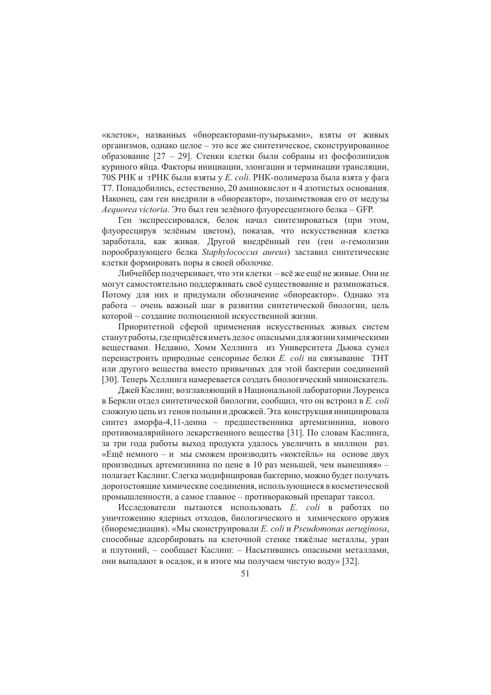«клеток», названных «биореакторами-пузырьками», взяты от живых организмов, однако целое - это все же синтетическое, сконструированное образование [27 - 29]. Стенки клетки были собраны из фосфолипидов куриного яйца. Факторы инициации, элонгации и терминации трансляции, 70S РНК и тРНК были взяты у E. coli. РНК-полимераза была взята у фага Т7. Понадобились, естественно, 20 аминокислот и 4 азотистых основания. Наконец, сам ген внедрили в «биореактор», позаимствовав его от медузы Aequorea victoria. Это был ген зелёного флуоресцентного белка - GFP.

Ген экспрессировался, белок начал синтезироваться (при этом, флуоресцируя зелёным цветом), показав, что искусственная клетка заработала, как живая. Другой внедрённый ген (ген а-гемолизин порообразующего белка Staphylococcus aureus) заставил синтетические клетки формировать поры в своей оболочке.

Либчейбер подчеркивает, что эти клетки – всё же ещё не живые. Они не могут самостоятельно поддерживать своё существование и размножаться. Потому для них и придумали обозначение «биореактор». Однако эта работа – очень важный шаг в развитии синтетической биологии, цель которой - создание полноценной искусственной жизни.

Приоритетной сферой применения искусственных живых систем станут работы, где придётся иметь дело с опасными для жизни химическими веществами. Недавно, Хомм Хеллинга из Университета Дьюка сумел перенастроить природные сенсорные белки *E. coli* на связывание ТНТ или другого вещества вместо привычных для этой бактерии соединений [30]. Теперь Хеллинга намеревается создать биологический миноискатель.

Джей Каслинг, возглавляющий в Национальной лаборатории Лоуренса в Беркли отдел синтетической биологии, сообщил, что он встроил в E. coli сложную цепь из генов полыни и дрожжей. Эта конструкция инициировала синтез аморфа-4,11-деина - предшественника артемизинина, нового противомалярийного лекарственного вещества [31]. По словам Каслинга, за три года работы выход продукта удалось увеличить в миллион раз. «Ещё немного - и мы сможем производить «коктейль» на основе двух производных артемизинина по цене в 10 раз меньшей, чем нынешняя» полагает Каслинг. Слегка модифицировав бактерию, можно будет получать дорогостоящие химические соелинения, использующиеся в косметической промышленности, а самое главное - противораковый препарат таксол.

Исследователи пытаются использовать *E. coli* в работах по уничтожению ядерных отходов, биологического и химического оружия (биоремедиация). «Мы сконструировали E. coli и Pseudomonas aeruginosa, способные алсорбировать на клеточной стенке тяжёлые металлы, уран и плутоний, - сообщает Каслинг. - Насытившись опасными металлами, они выпадают в осадок, и в итоге мы получаем чистую воду» [32].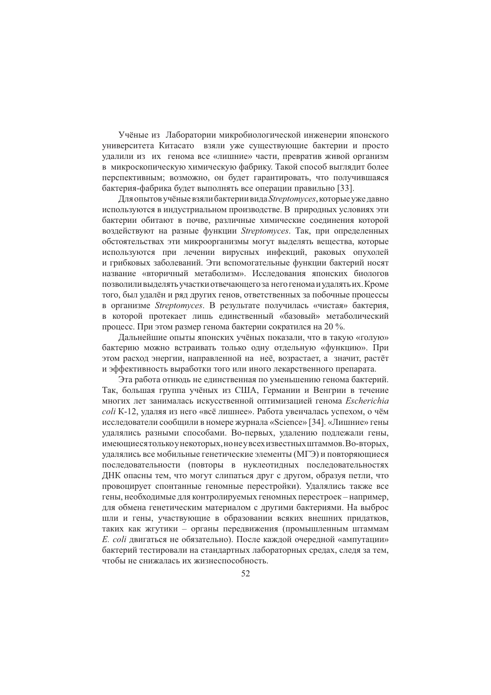Учёные из Лаборатории микробиологической инженерии японского университета Китасато взяли уже существующие бактерии и просто удалили из их генома все «лишние» части, превратив живой организм в микроскопическую химическую фабрику. Такой способ выглядит более перспективным; возможно, он будет гарантировать, что получившаяся бактерия-фабрика будет выполнять все операции правильно [33].

Для опытов учёные взяли бактерии вида Streptomyces, которые уже давно используются в индустриальном производстве. В природных условиях эти бактерии обитают в почве, различные химические соединения которой воздействуют на разные функции Streptomyces. Так, при определенных обстоятельствах эти микроорганизмы могут выделять вещества, которые используются при лечении вирусных инфекций, раковых опухолей и грибковых заболеваний. Эти вспомогательные функции бактерий носят название «вторичный метаболизм». Исследования японских биологов позволили выделять участки отвечающего за него генома и удалять их. Кроме того, был удалён и ряд других генов, ответственных за побочные процессы в организме Streptomyces. В результате получилась «чистая» бактерия, в которой протекает лишь единственный «базовый» метаболический процесс. При этом размер генома бактерии сократился на 20 %.

Дальнейшие опыты японских учёных показали, что в такую «голую» бактерию можно встраивать только одну отдельную «функцию». При этом расход энергии, направленной на неё, возрастает, а значит, растёт и эффективность выработки того или иного лекарственного препарата.

Эта работа отнюдь не единственная по уменьшению генома бактерий. Так, большая группа учёных из США, Германии и Венгрии в течение многих лет занималась искусственной оптимизацией генома Escherichia coli K-12, удаляя из него «всё лишнее». Работа увенчалась успехом, о чём исследователи сообщили в номере журнала «Science» [34]. «Лишние» гены удалялись разными способами. Во-первых, удалению подлежали гены, имеющиеся только у некоторых, но не у всех известных штаммов. Во-вторых, удалялись все мобильные генетические элементы (МГЭ) и повторяющиеся последовательности (повторы в нуклеотидных последовательностях ДНК опасны тем, что могут слипаться друг с другом, образуя петли, что провоцирует спонтанные геномные перестройки). Удалялись также все гены, необходимые для контролируемых геномных перестроек - например, для обмена генетическим материалом с другими бактериями. На выброс шли и гены, участвующие в образовании всяких внешних придатков, таких как жгутики - органы передвижения (промышленным штаммам  $E.$  соli пвигаться не обязательно). После каждой очередной «ампутации» бактерий тестировали на стандартных лабораторных средах, следя за тем, чтобы не снижалась их жизнеспособность.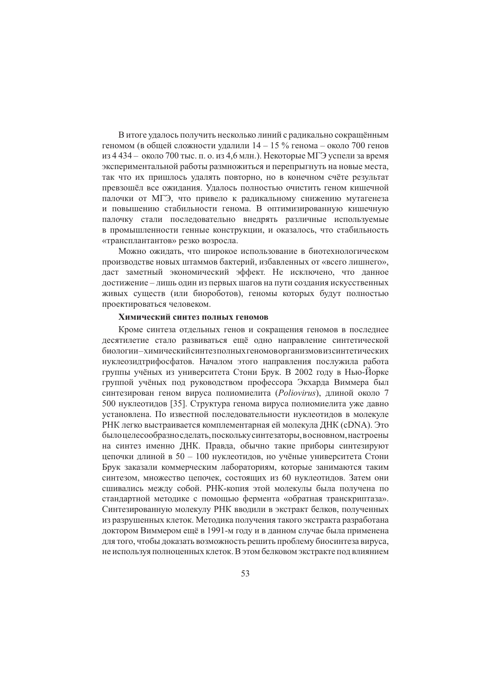В итоге удалось получить несколько линий с радикально сокращённым геномом (в общей сложности удалили  $14 - 15$  % генома – около 700 генов из 4 434 - около 700 тыс. п. о. из 4,6 млн.). Некоторые МГЭ успели за время экспериментальной работы размножиться и перепрыгнуть на новые места, так что их пришлось удалять повторно, но в конечном счёте результат превзошёл все ожидания. Удалось полностью очистить геном кишечной палочки от МГЭ, что привело к радикальному снижению мутагенеза и повышению стабильности генома. В оптимизированную кишечную палочку стали последовательно внедрять различные используемые в промышленности генные конструкции, и оказалось, что стабильность «трансплантантов» резко возросла.

Можно ожидать, что широкое использование в биотехнологическом производстве новых штаммов бактерий, избавленных от «всего лишнего», даст заметный экономический эффект. Не исключено, что данное достижение - лишь один из первых шагов на пути создания искусственных живых существ (или биороботов), геномы которых будут полностью проектироваться человеком.

#### Химический синтез полных геномов

Кроме синтеза отдельных генов и сокращения геномов в последнее десятилетие стало развиваться ещё одно направление синтетической биологии-химический синтезполных геномоворганизмовиз синтетических нуклеозидтрифосфатов. Началом этого направления послужила работа группы учёных из университета Стони Брук. В 2002 году в Нью-Йорке группой учёных под руководством профессора Экхарда Виммера был синтезирован геном вируса полиомиелита (Poliovirus), длиной около 7 500 нуклеотидов [35]. Структура генома вируса полиомиелита уже давно установлена. По известной последовательности нуклеотидов в молекуле РНК легко выстраивается комплементарная ей молекула ДНК (cDNA). Это было целесообразно сделать, поскольку синтезаторы, в основном, настроены на синтез именно ДНК. Правда, обычно такие приборы синтезируют непочки ллиной в 50 - 100 нуклеотилов, но учёные университета Стони Брук заказали коммерческим лабораториям, которые занимаются таким синтезом, множество цепочек, состоящих из 60 нуклеотидов. Затем они сшивались между собой. РНК-копия этой молекулы была получена по стандартной методике с помощью фермента «обратная транскриптаза». Синтезированную молекулу РНК вводили в экстракт белков, полученных из разрушенных клеток. Методика получения такого экстракта разработана доктором Виммером ещё в 1991-м году и в данном случае была применена для того, чтобы доказать возможность решить проблему биосинтеза вируса, не используя полноценных клеток. В этом белковом экстракте под влиянием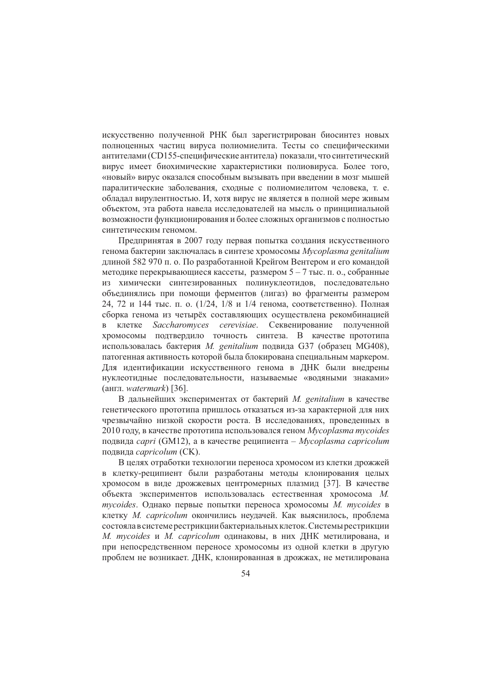искусственно полученной РНК был зарегистрирован биосинтез новых полноценных частиц вируса полиомиелита. Тесты со специфическими антителами (CD155-специфические антитела) показали, что синтетический вирус имеет биохимические характеристики полиовируса. Более того, «новый» вирус оказался способным вызывать при введении в мозг мышей паралитические заболевания, сходные с полиомиелитом человека, т. е. обладал вирулентностью. И, хотя вирус не является в полной мере живым объектом, эта работа навела исследователей на мысль о принципиальной возможности функционирования и более сложных организмов с полностью синтетическим геномом.

Предпринятая в 2007 году первая попытка создания искусственного генома бактерии заключалась в синтезе хромосомы Mycoplasma genitalium длиной 582 970 п. о. По разработанной Крейгом Вентером и его командой методике перекрывающиеся кассеты, размером  $5 - 7$  тыс. п. о., собранные из химически синтезированных полинуклеотидов, последовательно объединялись при помощи ферментов (лигаз) во фрагменты размером 24, 72 и 144 тыс. п. о. (1/24, 1/8 и 1/4 генома, соответственно). Полная сборка генома из четырёх составляющих осуществлена рекомбинацией в клетке Saccharomyces cerevisiae. Секвенирование полученной хромосомы подтвердило точность синтеза. В качестве прототипа использовалась бактерия *М. genitalium* подвида G37 (образец MG408), патогенная активность которой была блокирована специальным маркером. Для идентификации искусственного генома в ДНК были внедрены нуклеотидные последовательности, называемые «водяными знаками» (англ. watermark) [36].

В дальнейших экспериментах от бактерий *М. genitalium* в качестве генетического прототипа пришлось отказаться из-за характерной для них чрезвычайно низкой скорости роста. В исследованиях, проведенных в 2010 году, в качестве прототипа использовался геном Mycoplasma mycoides подвида *capri* (GM12), а в качестве реципиента – Mycoplasma capricolum подвида *capricolum* (CK).

В целях отработки технологии переноса хромосом из клетки дрожжей в клетку-реципиент были разработаны методы клонирования целых хромосом в виде дрожжевых центромерных плазмид [37]. В качестве объекта экспериментов использовалась естественная хромосома М.  $m$ vcoides. Однако первые попытки переноса хромосомы  $M$ . mycoides в клетку М. capricolum окончились неудачей. Как выяснилось, проблема состояла в системе рестрикции бактериальных клеток. Системы рестрикции M. mycoides и M. capricolum одинаковы, в них ДНК метилирована, и при непосредственном переносе хромосомы из одной клетки в другую проблем не возникает. ДНК, клонированная в дрожжах, не метилирована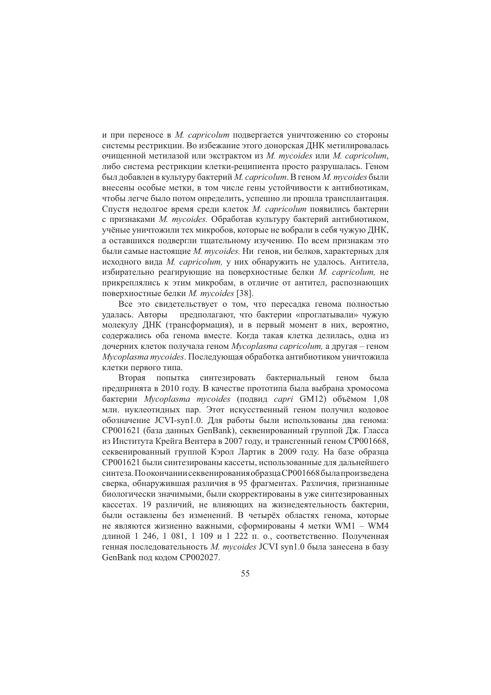и при переносе в M. capricolum подвергается уничтожению со стороны системы рестрикции. Во избежание этого донорская ДНК метилировалась очищенной метилазой или экстрактом из M. mycoides или M. capricolum, либо система рестрикции клетки-реципиента просто разрушалась. Геном был добавлен в культуру бактерий М. capricolum. В геном М. mycoides были внесены особые метки, в том числе гены устойчивости к антибиотикам, чтобы легче было потом определить, успешно ли прошла трансплантация. Спустя недолгое время среди клеток *М. capricolum* появились бактерии с признаками *M. mycoides*. Обработав культуру бактерий антибиотиком, учёные уничтожили тех микробов, которые не вобрали в себя чужую ДНК, а оставшихся подвергли тщательному изучению. По всем признакам это были самые настоящие M. mycoides. Ни генов, ни белков, характерных для исходного вида *М. capricolum*, у них обнаружить не удалось. Антитела, избирательно реагирующие на поверхностные белки M. capricolum, не прикреплялись к этим микробам, в отличие от антител, распознающих поверхностные белки *M. mycoides* [38].

Все это свидетельствует о том, что пересадка генома полностью предполагают, что бактерии «проглатывали» чужую удалась. Авторы молекулу ДНК (трансформация), и в первый момент в них, вероятно, содержались оба генома вместе. Когда такая клетка делилась, одна из дочерних клеток получала геном Mycoplasma capricolum, а другая – геном Mycoplasma mycoides. Последующая обработка антибиотиком уничтожила клетки первого типа.

синтезировать бактериальный геном Вторая попытка была предпринята в 2010 году. В качестве прототипа была выбрана хромосома бактерии Mycoplasma mycoides (подвид capri GM12) объёмом 1,08 млн. нуклеотидных пар. Этот искусственный геном получил кодовое обозначение JCVI-syn1.0. Для работы были использованы два генома: СР001621 (база данных GenBank), секвенированный группой Дж. Гласса из Института Крейга Вентера в 2007 году, и трансгенный геном СР001668, секвенированный группой Кэрол Лартик в 2009 году. На базе образца СР001621 были синтезированы кассеты, использованные для дальнейшего синтеза. По окончании секвенирования образца СР001668 была произведена сверка, обнаружившая различия в 95 фрагментах. Различия, признанные биологически значимыми, были скорректированы в уже синтезированных кассетах. 19 различий, не влияющих на жизнедеятельность бактерии, были оставлены без изменений. В четырёх областях генома, которые не являются жизненно важными, сформированы 4 метки WM1 - WM4 длиной 1 246, 1 081, 1 109 и 1 222 п. о., соответственно. Полученная генная последовательность M. mycoides JCVI syn1.0 была занесена в базу GenBank под кодом CP002027.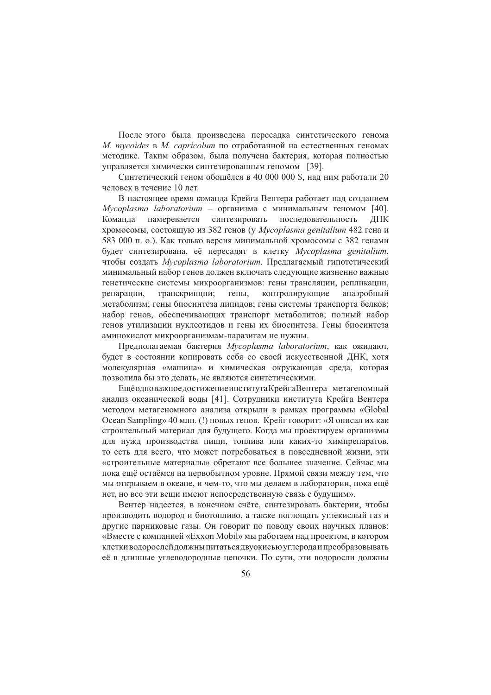После этого была произведена пересадка синтетического генома *M. mycoides* в *M. capricolum* по отработанной на естественных геномах методике. Таким образом, была получена бактерия, которая полностью управляется химически синтезированным геномом [39].

Синтетический геном обошёлся в 40 000 000 \$, над ним работали 20 человек в течение 10 лет.

В настоящее время команда Крейга Вентера работает над созданием Mycoplasma laboratorium - организма с минимальным геномом [40]. намеревается синтезировать последовательность Команда ДНК хромосомы, состоящую из 382 генов (у Mycoplasma genitalium 482 гена и 583 000 п. о.). Как только версия минимальной хромосомы с 382 генами будет синтезирована, её пересадят в клетку Mycoplasma genitalium, чтобы создать Mycoplasma laboratorium. Предлагаемый гипотетический минимальный набор генов должен включать следующие жизненно важные генетические системы микроорганизмов: гены трансляции, репликации, репарации, транскрипции; гены, контролирующие анаэробный метаболизм; гены биосинтеза липидов; гены системы транспорта белков; набор генов, обеспечивающих транспорт метаболитов; полный набор генов утилизации нуклеотидов и гены их биосинтеза. Гены биосинтеза аминокислот микроорганизмам-паразитам не нужны.

Предполагаемая бактерия Mycoplasma laboratorium, как ожидают, будет в состоянии копировать себя со своей искусственной ДНК, хотя молекулярная «машина» и химическая окружающая среда, которая позволила бы это делать, не являются синтетическими.

Ещёодноважное достижение института Крейга Вентера-метагеномный анализ океанической воды [41]. Сотрудники института Крейга Вентера методом метагеномного анализа открыли в рамках программы «Global Ocean Sampling» 40 млн. (!) новых генов. Крейг говорит: «Я описал их как строительный материал для будущего. Когда мы проектируем организмы для нужд производства пищи, топлива или каких-то химпрепаратов, то есть для всего, что может потребоваться в повседневной жизни, эти «строительные материалы» обретают все большее значение. Сейчас мы пока ещё остаёмся на первобытном уровне. Прямой связи между тем, что мы открываем в океане, и чем-то, что мы делаем в лаборатории, пока ещё нет, но все эти вещи имеют непосредственную связь с будущим».

Вентер надеется, в конечном счёте, синтезировать бактерии, чтобы производить водород и биотопливо, а также поглощать углекислый газ и другие парниковые газы. Он говорит по поводу своих научных планов: «Вместе с компанией «Exxon Mobil» мы работаем над проектом, в котором клетки водорослей должны питаться двуокисью углерода и преобразовывать её в длинные углеводородные цепочки. По сути, эти водоросли должны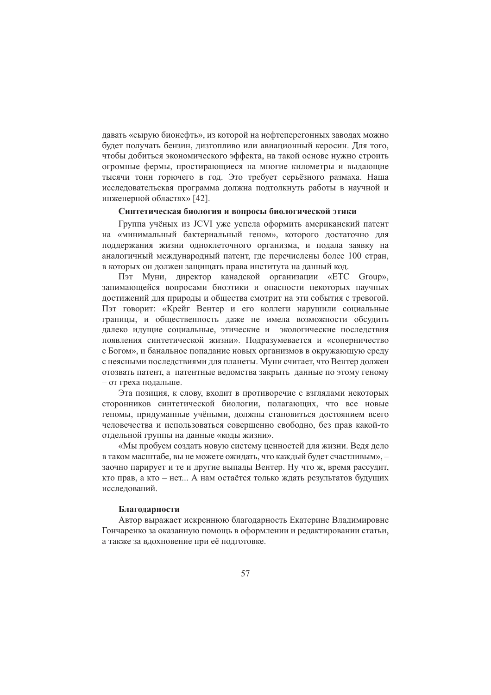давать «сырую бионефть», из которой на нефтеперегонных заводах можно будет получать бензин, дизтопливо или авиационный керосин. Для того, чтобы добиться экономического эффекта, на такой основе нужно строить огромные фермы, простирающиеся на многие километры и выдающие тысячи тонн горючего в год. Это требует серьёзного размаха. Наша исследовательская программа должна подтолкнуть работы в научной и инженерной областях» [42].

# Синтетическая биология и вопросы биологической этики

Группа учёных из JCVI уже успела оформить американский патент на «минимальный бактериальный геном», которого достаточно для поддержания жизни одноклеточного организма, и подала заявку на аналогичный международный патент, где перечислены более 100 стран, в которых он должен защищать права института на данный код.

Пэт Муни, директор канадской организации «ЕТС Group». занимающейся вопросами биоэтики и опасности некоторых научных достижений для природы и общества смотрит на эти события с тревогой. Пэт говорит: «Крейг Вентер и его коллеги нарушили социальные границы, и общественность даже не имела возможности обсудить далеко идущие социальные, этические и экологические последствия появления синтетической жизни». Подразумевается и «соперничество с Богом», и банальное попадание новых организмов в окружающую среду с неясными последствиями для планеты. Муни считает, что Вентер должен отозвать патент, а патентные ведомства закрыть данные по этому геному - от греха подальше.

Эта позиция, к слову, входит в противоречие с взглядами некоторых сторонников синтетической биологии, полагающих, что все новые геномы, придуманные учёными, должны становиться достоянием всего человечества и использоваться совершенно свободно, без прав какой-то отдельной группы на данные «коды жизни».

«Мы пробуем создать новую систему ценностей для жизни. Ведя дело в таком масштабе, вы не можете ожилать, что кажлый булет счастливым». заочно парирует и те и другие выпады Вентер. Ну что ж, время рассудит, кто прав, а кто - нет... А нам остаётся только ждать результатов будущих исследований.

### Благодарности

Автор выражает искреннюю благодарность Екатерине Владимировне Гончаренко за оказанную помощь в оформлении и редактировании статьи, а также за вдохновение при её подготовке.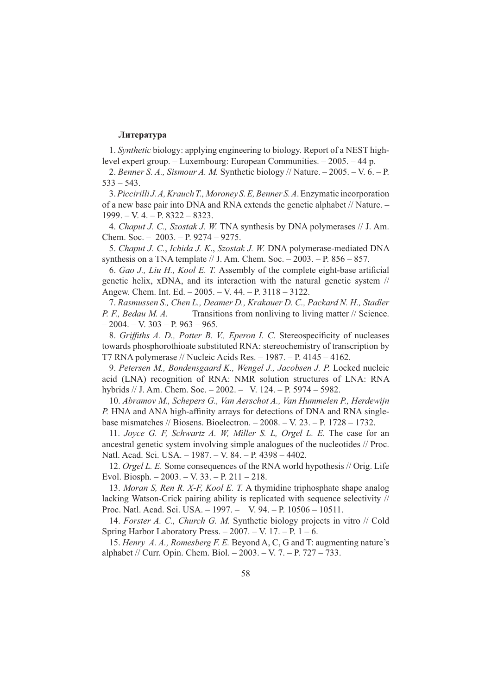# Литература

1. Synthetic biology: applying engineering to biology. Report of a NEST highlevel expert group.  $-$  Luxembourg: European Communities.  $-2005$ .  $-44$  p.

2. Benner S. A., Sismour A. M. Synthetic biology // Nature. - 2005. - V. 6. - P.  $533 - 543$ .

3. Piccirilli J. A, Krauch T., Moroney S. E, Benner S. A. Enzymatic incorporation of a new base pair into DNA and RNA extends the genetic alphabet // Nature. - $1999. - V. 4. - P. 8322 - 8323.$ 

4. Chaput J. C., Szostak J. W. TNA synthesis by DNA polymerases // J. Am. Chem. Soc.  $-2003. - P. 9274 - 9275.$ 

5. Chaput J. C., Ichida J. K., Szostak J. W. DNA polymerase-mediated DNA synthesis on a TNA template // J. Am. Chem. Soc.  $-2003$ .  $-$  P. 856  $-857$ .

6. Gao J., Liu H., Kool E. T. Assembly of the complete eight-base artificial genetic helix, xDNA, and its interaction with the natural genetic system // Angew. Chem. Int. Ed.  $-2005. - V. 44. - P. 3118 - 3122.$ 

7. Rasmussen S., Chen L., Deamer D., Krakauer D. C., Packard N. H., Stadler P. F., Bedau M. A. Transitions from nonliving to living matter // Science.  $-2004. - V. 303 - P. 963 - 965.$ 

8. Griffiths A. D., Potter B. V., Eperon I. C. Stereospecificity of nucleases towards phosphorothioate substituted RNA: stereochemistry of transcription by T7 RNA polymerase // Nucleic Acids Res.  $-1987. - P. 4145 - 4162.$ 

9. Petersen M., Bondensgaard K., Wengel J., Jacobsen J. P. Locked nucleic acid (LNA) recognition of RNA: NMR solution structures of LNA: RNA hybrids // J. Am. Chem. Soc.  $-2002. - V. 124. - P. 5974 - 5982.$ 

10. Abramov M., Schepers G., Van Aerschot A., Van Hummelen P., Herdewijn P. HNA and ANA high-affinity arrays for detections of DNA and RNA singlebase mismatches // Biosens. Bioelectron.  $-2008. -V. 23. -P. 1728 - 1732.$ 

11. Joyce G. F, Schwartz A. W, Miller S. L, Orgel L. E. The case for an ancestral genetic system involving simple analogues of the nucleotides // Proc. Natl. Acad. Sci. USA. - 1987. - V. 84. - P. 4398 - 4402.

12. Orgel L. E. Some consequences of the RNA world hypothesis // Orig. Life Evol. Biosph.  $-2003. -V. 33. -P. 211 - 218.$ 

13. Moran S, Ren R. X-F, Kool E. T. A thymidine triphosphate shape analog lacking Watson-Crick pairing ability is replicated with sequence selectivity // Proc. Natl. Acad. Sci. USA. - 1997. - V. 94. - P. 10506 - 10511.

14. Forster A. C., Church G. M. Synthetic biology projects in vitro // Cold Spring Harbor Laboratory Press.  $-2007. -V. 17. -P. 1-6.$ 

15. Henry A. A., Romesberg F. E. Beyond A, C, G and T: augmenting nature's alphabet // Curr. Opin. Chem. Biol. - 2003. - V. 7. - P. 727 - 733.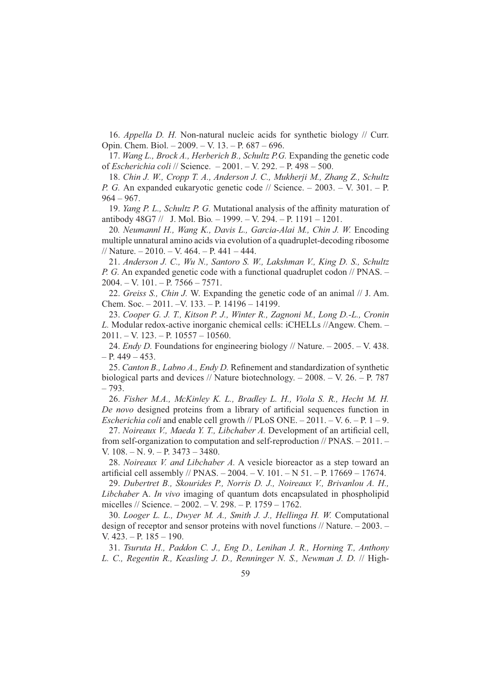16. Appella D. H. Non-natural nucleic acids for synthetic biology // Curr. Opin. Chem. Biol.  $-2009. -V. 13. -P. 687 - 696.$ 

17. Wang L., Brock A., Herberich B., Schultz P.G. Expanding the genetic code of Escherichia coli // Science. - 2001. - V. 292. - P. 498 - 500.

18. Chin J. W., Cropp T. A., Anderson J. C., Mukherji M., Zhang Z., Schultz P. G. An expanded eukaryotic genetic code // Science. - 2003. - V. 301. - P.  $964 - 967.$ 

19. Yang P. L., Schultz P. G. Mutational analysis of the affinity maturation of antibody  $48G7 \,$  J. Mol. Bio. - 1999. - V. 294. - P. 1191 - 1201.

20. Neumannl H., Wang K., Davis L., Garcia-Alai M., Chin J. W. Encoding multiple unnatural amino acids via evolution of a quadruplet-decoding ribosome // Nature.  $-2010$ .  $-$  V. 464.  $-$  P. 441  $-$  444.

21. Anderson J. C., Wu N., Santoro S. W., Lakshman V., King D. S., Schultz *P. G.* An expanded genetic code with a functional quadruplet codon // PNAS. –  $2004. - V. 101. - P. 7566 - 7571.$ 

22. Greiss S., Chin J. W. Expanding the genetic code of an animal // J. Am. Chem. Soc.  $-2011$ .  $-V$ . 133.  $- P$ . 14196  $- 14199$ .

23. Cooper G. J. T., Kitson P. J., Winter R., Zagnoni M., Long D.-L., Cronin L. Modular redox-active inorganic chemical cells: iCHELLs //Angew. Chem. - $2011. - V. 123. - P. 10557 - 10560.$ 

24. *Endy D.* Foundations for engineering biology // Nature.  $-2005$ .  $- V. 438$ .  $- P. 449 - 453.$ 

25. Canton B., Labno A., Endy D. Refinement and standardization of synthetic biological parts and devices // Nature biotechnology.  $-$  2008.  $-$  V. 26.  $-$  P. 787  $-793.$ 

26. Fisher M.A., McKinley K. L., Bradley L. H., Viola S. R., Hecht M. H. De novo designed proteins from a library of artificial sequences function in *Escherichia coli* and enable cell growth // PLoS ONE.  $- 2011$ .  $- V. 6. - P. 1 - 9$ .

27. Noireaux V., Maeda Y. T., Libchaber A. Development of an artificial cell, from self-organization to computation and self-reproduction  $//$  PNAS.  $-2011$ . V.  $108. - N. 9. - P. 3473 - 3480.$ 

28. Noireaux V. and Libchaber A. A vesicle bioreactor as a step toward an artificial cell assembly // PNAS.  $- 2004. - V. 101. - N. 51. - P. 17669 - 17674.$ 

29. Dubertret B., Skourides P., Norris D. J., Noireaux V., Brivanlou A. H., Libchaber A. In vivo imaging of quantum dots encapsulated in phospholipid micelles // Science.  $-2002$ .  $- V. 298$ .  $- P. 1759 - 1762$ .

30. Looger L. L., Dwyer M. A., Smith J. J., Hellinga H. W. Computational design of receptor and sensor proteins with novel functions  $\frac{\pi}{4}$  Nature.  $-2003$ . V.  $423. - P. 185 - 190.$ 

31. Tsuruta H., Paddon C. J., Eng D., Lenihan J. R., Horning T., Anthony L. C., Regentin R., Keasling J. D., Renninger N. S., Newman J. D. // High